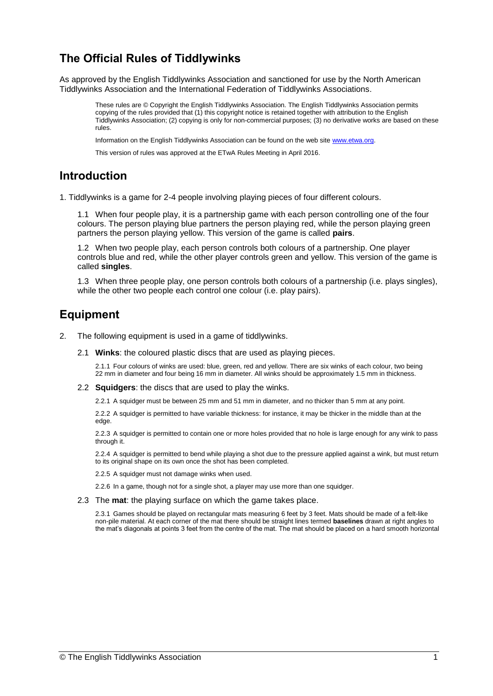# **The Official Rules of Tiddlywinks**

As approved by the English Tiddlywinks Association and sanctioned for use by the North American Tiddlywinks Association and the International Federation of Tiddlywinks Associations.

These rules are © Copyright the English Tiddlywinks Association. The English Tiddlywinks Association permits copying of the rules provided that (1) this copyright notice is retained together with attribution to the English Tiddlywinks Association; (2) copying is only for non-commercial purposes; (3) no derivative works are based on these rules.

Information on the English Tiddlywinks Association can be found on the web sit[e www.etwa.org.](http://www.etwa.org/)

This version of rules was approved at the ETwA Rules Meeting in April 2016.

## **Introduction**

1. Tiddlywinks is a game for 2-4 people involving playing pieces of four different colours.

1.1 When four people play, it is a partnership game with each person controlling one of the four colours. The person playing blue partners the person playing red, while the person playing green partners the person playing yellow. This version of the game is called **pairs**.

1.2 When two people play, each person controls both colours of a partnership. One player controls blue and red, while the other player controls green and yellow. This version of the game is called **singles**.

1.3 When three people play, one person controls both colours of a partnership (i.e. plays singles), while the other two people each control one colour (i.e. play pairs).

# **Equipment**

- 2. The following equipment is used in a game of tiddlywinks.
	- 2.1 **Winks**: the coloured plastic discs that are used as playing pieces.

2.1.1 Four colours of winks are used: blue, green, red and yellow. There are six winks of each colour, two being 22 mm in diameter and four being 16 mm in diameter. All winks should be approximately 1.5 mm in thickness.

2.2 **Squidgers**: the discs that are used to play the winks.

2.2.1 A squidger must be between 25 mm and 51 mm in diameter, and no thicker than 5 mm at any point.

2.2.2 A squidger is permitted to have variable thickness: for instance, it may be thicker in the middle than at the edge.

2.2.3 A squidger is permitted to contain one or more holes provided that no hole is large enough for any wink to pass through it.

2.2.4 A squidger is permitted to bend while playing a shot due to the pressure applied against a wink, but must return to its original shape on its own once the shot has been completed.

2.2.5 A squidger must not damage winks when used.

2.2.6 In a game, though not for a single shot, a player may use more than one squidger.

2.3 The **mat**: the playing surface on which the game takes place.

2.3.1 Games should be played on rectangular mats measuring 6 feet by 3 feet. Mats should be made of a felt-like non-pile material. At each corner of the mat there should be straight lines termed **baselines** drawn at right angles to the mat's diagonals at points 3 feet from the centre of the mat. The mat should be placed on a hard smooth horizontal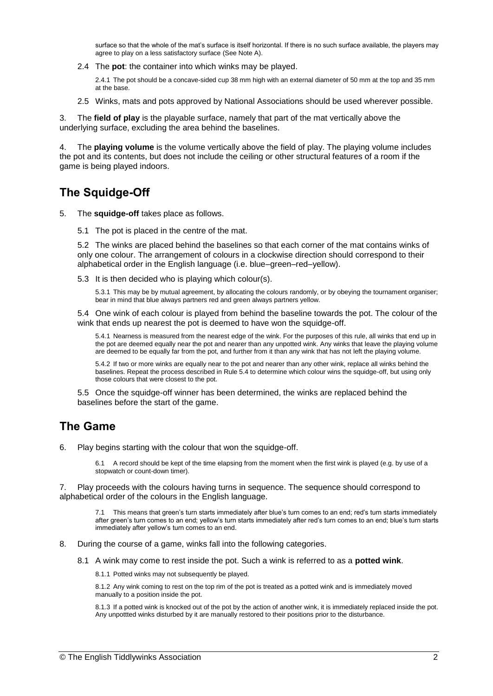surface so that the whole of the mat's surface is itself horizontal. If there is no such surface available, the players may agree to play on a less satisfactory surface (See Note A).

2.4 The **pot**: the container into which winks may be played.

2.4.1 The pot should be a concave-sided cup 38 mm high with an external diameter of 50 mm at the top and 35 mm at the base.

2.5 Winks, mats and pots approved by National Associations should be used wherever possible.

3. The **field of play** is the playable surface, namely that part of the mat vertically above the underlying surface, excluding the area behind the baselines.

4. The **playing volume** is the volume vertically above the field of play. The playing volume includes the pot and its contents, but does not include the ceiling or other structural features of a room if the game is being played indoors.

# **The Squidge-Off**

- 5. The **squidge-off** takes place as follows.
	- 5.1 The pot is placed in the centre of the mat.

5.2 The winks are placed behind the baselines so that each corner of the mat contains winks of only one colour. The arrangement of colours in a clockwise direction should correspond to their alphabetical order in the English language (i.e. blue–green–red–yellow).

5.3 It is then decided who is playing which colour(s).

5.3.1 This may be by mutual agreement, by allocating the colours randomly, or by obeying the tournament organiser; bear in mind that blue always partners red and green always partners yellow.

5.4 One wink of each colour is played from behind the baseline towards the pot. The colour of the wink that ends up nearest the pot is deemed to have won the squidge-off.

5.4.1 Nearness is measured from the nearest edge of the wink. For the purposes of this rule, all winks that end up in the pot are deemed equally near the pot and nearer than any unpotted wink. Any winks that leave the playing volume are deemed to be equally far from the pot, and further from it than any wink that has not left the playing volume.

5.4.2 If two or more winks are equally near to the pot and nearer than any other wink, replace all winks behind the baselines. Repeat the process described in Rule 5.4 to determine which colour wins the squidge-off, but using only those colours that were closest to the pot.

5.5 Once the squidge-off winner has been determined, the winks are replaced behind the baselines before the start of the game.

## **The Game**

6. Play begins starting with the colour that won the squidge-off.

6.1 A record should be kept of the time elapsing from the moment when the first wink is played (e.g. by use of a stopwatch or count-down timer).

7. Play proceeds with the colours having turns in sequence. The sequence should correspond to alphabetical order of the colours in the English language.

7.1 This means that green's turn starts immediately after blue's turn comes to an end; red's turn starts immediately after green's turn comes to an end; yellow's turn starts immediately after red's turn comes to an end; blue's turn starts immediately after yellow's turn comes to an end.

- 8. During the course of a game, winks fall into the following categories.
	- 8.1 A wink may come to rest inside the pot. Such a wink is referred to as a **potted wink**.

8.1.1 Potted winks may not subsequently be played.

8.1.2 Any wink coming to rest on the top rim of the pot is treated as a potted wink and is immediately moved manually to a position inside the pot.

8.1.3 If a potted wink is knocked out of the pot by the action of another wink, it is immediately replaced inside the pot. Any unpottted winks disturbed by it are manually restored to their positions prior to the disturbance.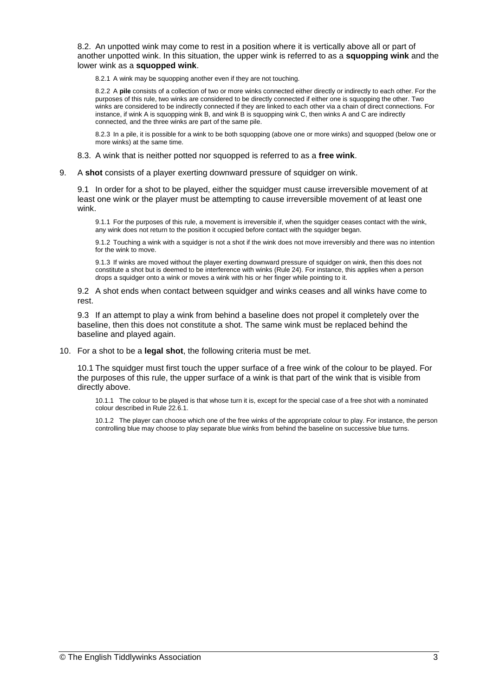8.2. An unpotted wink may come to rest in a position where it is vertically above all or part of another unpotted wink. In this situation, the upper wink is referred to as a **squopping wink** and the lower wink as a **squopped wink**.

8.2.1 A wink may be squopping another even if they are not touching.

8.2.2 A **pile** consists of a collection of two or more winks connected either directly or indirectly to each other. For the purposes of this rule, two winks are considered to be directly connected if either one is squopping the other. Two winks are considered to be indirectly connected if they are linked to each other via a chain of direct connections. For instance, if wink A is squopping wink B, and wink B is squopping wink C, then winks A and C are indirectly connected, and the three winks are part of the same pile.

8.2.3 In a pile, it is possible for a wink to be both squopping (above one or more winks) and squopped (below one or more winks) at the same time.

- 8.3. A wink that is neither potted nor squopped is referred to as a **free wink**.
- 9. A **shot** consists of a player exerting downward pressure of squidger on wink.

9.1 In order for a shot to be played, either the squidger must cause irreversible movement of at least one wink or the player must be attempting to cause irreversible movement of at least one wink.

9.1.1 For the purposes of this rule, a movement is irreversible if, when the squidger ceases contact with the wink, any wink does not return to the position it occupied before contact with the squidger began.

9.1.2 Touching a wink with a squidger is not a shot if the wink does not move irreversibly and there was no intention for the wink to move.

9.1.3 If winks are moved without the player exerting downward pressure of squidger on wink, then this does not constitute a shot but is deemed to be interference with winks (Rule 24). For instance, this applies when a person drops a squidger onto a wink or moves a wink with his or her finger while pointing to it.

9.2 A shot ends when contact between squidger and winks ceases and all winks have come to rest.

9.3 If an attempt to play a wink from behind a baseline does not propel it completely over the baseline, then this does not constitute a shot. The same wink must be replaced behind the baseline and played again.

10. For a shot to be a **legal shot**, the following criteria must be met.

10.1 The squidger must first touch the upper surface of a free wink of the colour to be played. For the purposes of this rule, the upper surface of a wink is that part of the wink that is visible from directly above.

10.1.1 The colour to be played is that whose turn it is, except for the special case of a free shot with a nominated colour described in Rule 22.6.1.

10.1.2 The player can choose which one of the free winks of the appropriate colour to play. For instance, the person controlling blue may choose to play separate blue winks from behind the baseline on successive blue turns.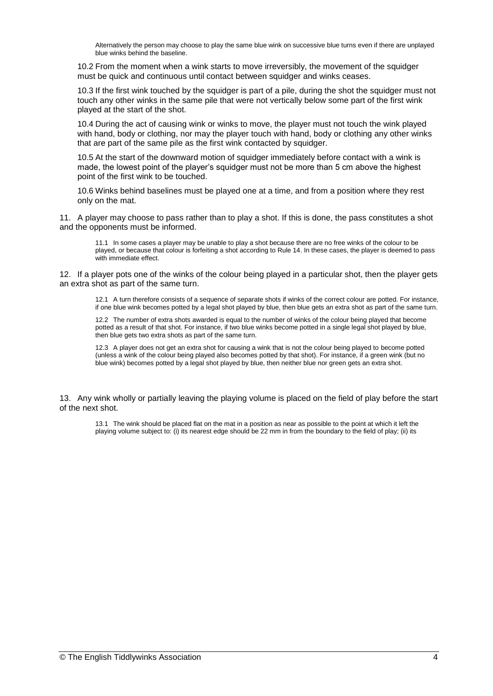Alternatively the person may choose to play the same blue wink on successive blue turns even if there are unplayed blue winks behind the baseline.

10.2 From the moment when a wink starts to move irreversibly, the movement of the squidger must be quick and continuous until contact between squidger and winks ceases.

10.3 If the first wink touched by the squidger is part of a pile, during the shot the squidger must not touch any other winks in the same pile that were not vertically below some part of the first wink played at the start of the shot.

10.4 During the act of causing wink or winks to move, the player must not touch the wink played with hand, body or clothing, nor may the player touch with hand, body or clothing any other winks that are part of the same pile as the first wink contacted by squidger.

10.5 At the start of the downward motion of squidger immediately before contact with a wink is made, the lowest point of the player's squidger must not be more than 5 cm above the highest point of the first wink to be touched.

10.6 Winks behind baselines must be played one at a time, and from a position where they rest only on the mat.

11. A player may choose to pass rather than to play a shot. If this is done, the pass constitutes a shot and the opponents must be informed.

11.1 In some cases a player may be unable to play a shot because there are no free winks of the colour to be played, or because that colour is forfeiting a shot according to Rule 14. In these cases, the player is deemed to pass with immediate effect.

12. If a player pots one of the winks of the colour being played in a particular shot, then the player gets an extra shot as part of the same turn.

12.1 A turn therefore consists of a sequence of separate shots if winks of the correct colour are potted. For instance, if one blue wink becomes potted by a legal shot played by blue, then blue gets an extra shot as part of the same turn.

12.2 The number of extra shots awarded is equal to the number of winks of the colour being played that become potted as a result of that shot. For instance, if two blue winks become potted in a single legal shot played by blue, then blue gets two extra shots as part of the same turn.

12.3 A player does not get an extra shot for causing a wink that is not the colour being played to become potted (unless a wink of the colour being played also becomes potted by that shot). For instance, if a green wink (but no blue wink) becomes potted by a legal shot played by blue, then neither blue nor green gets an extra shot.

13. Any wink wholly or partially leaving the playing volume is placed on the field of play before the start of the next shot.

13.1 The wink should be placed flat on the mat in a position as near as possible to the point at which it left the playing volume subject to: (i) its nearest edge should be 22 mm in from the boundary to the field of play; (ii) its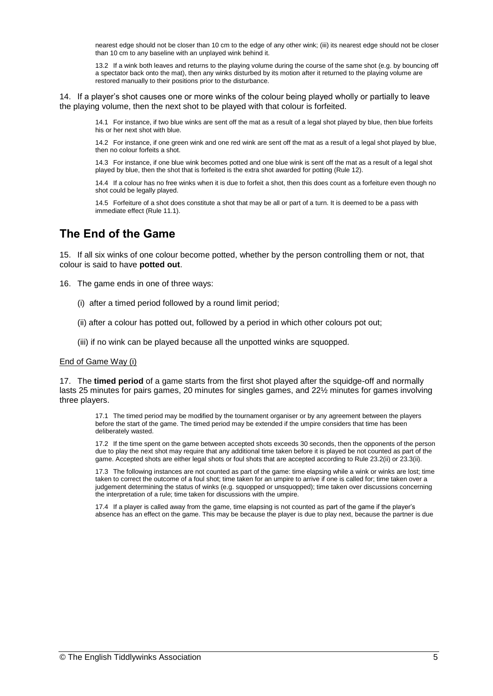nearest edge should not be closer than 10 cm to the edge of any other wink; (iii) its nearest edge should not be closer than 10 cm to any baseline with an unplayed wink behind it.

13.2 If a wink both leaves and returns to the playing volume during the course of the same shot (e.g. by bouncing off a spectator back onto the mat), then any winks disturbed by its motion after it returned to the playing volume are restored manually to their positions prior to the disturbance.

14. If a player's shot causes one or more winks of the colour being played wholly or partially to leave the playing volume, then the next shot to be played with that colour is forfeited.

14.1 For instance, if two blue winks are sent off the mat as a result of a legal shot played by blue, then blue forfeits his or her next shot with blue.

14.2 For instance, if one green wink and one red wink are sent off the mat as a result of a legal shot played by blue, then no colour forfeits a shot.

14.3 For instance, if one blue wink becomes potted and one blue wink is sent off the mat as a result of a legal shot played by blue, then the shot that is forfeited is the extra shot awarded for potting (Rule 12).

14.4 If a colour has no free winks when it is due to forfeit a shot, then this does count as a forfeiture even though no shot could be legally played.

14.5 Forfeiture of a shot does constitute a shot that may be all or part of a turn. It is deemed to be a pass with immediate effect (Rule 11.1).

# **The End of the Game**

15. If all six winks of one colour become potted, whether by the person controlling them or not, that colour is said to have **potted out**.

16. The game ends in one of three ways:

- (i) after a timed period followed by a round limit period;
- (ii) after a colour has potted out, followed by a period in which other colours pot out;
- (iii) if no wink can be played because all the unpotted winks are squopped.

### End of Game Way (i)

17. The **timed period** of a game starts from the first shot played after the squidge-off and normally lasts 25 minutes for pairs games, 20 minutes for singles games, and 22½ minutes for games involving three players.

17.1 The timed period may be modified by the tournament organiser or by any agreement between the players before the start of the game. The timed period may be extended if the umpire considers that time has been deliberately wasted.

17.2 If the time spent on the game between accepted shots exceeds 30 seconds, then the opponents of the person due to play the next shot may require that any additional time taken before it is played be not counted as part of the game. Accepted shots are either legal shots or foul shots that are accepted according to Rule 23.2(ii) or 23.3(ii).

17.3 The following instances are not counted as part of the game: time elapsing while a wink or winks are lost; time taken to correct the outcome of a foul shot; time taken for an umpire to arrive if one is called for; time taken over a judgement determining the status of winks (e.g. squopped or unsquopped); time taken over discussions concerning the interpretation of a rule; time taken for discussions with the umpire.

17.4 If a player is called away from the game, time elapsing is not counted as part of the game if the player's absence has an effect on the game. This may be because the player is due to play next, because the partner is due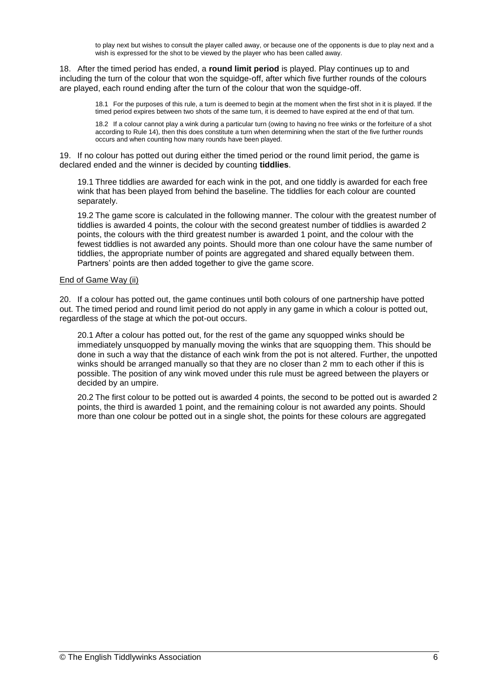to play next but wishes to consult the player called away, or because one of the opponents is due to play next and a wish is expressed for the shot to be viewed by the player who has been called away.

18. After the timed period has ended, a **round limit period** is played. Play continues up to and including the turn of the colour that won the squidge-off, after which five further rounds of the colours are played, each round ending after the turn of the colour that won the squidge-off.

18.1 For the purposes of this rule, a turn is deemed to begin at the moment when the first shot in it is played. If the timed period expires between two shots of the same turn, it is deemed to have expired at the end of that turn.

18.2 If a colour cannot play a wink during a particular turn (owing to having no free winks or the forfeiture of a shot according to Rule 14), then this does constitute a turn when determining when the start of the five further rounds occurs and when counting how many rounds have been played.

19. If no colour has potted out during either the timed period or the round limit period, the game is declared ended and the winner is decided by counting **tiddlies**.

19.1 Three tiddlies are awarded for each wink in the pot, and one tiddly is awarded for each free wink that has been played from behind the baseline. The tiddlies for each colour are counted separately.

19.2 The game score is calculated in the following manner. The colour with the greatest number of tiddlies is awarded 4 points, the colour with the second greatest number of tiddlies is awarded 2 points, the colours with the third greatest number is awarded 1 point, and the colour with the fewest tiddlies is not awarded any points. Should more than one colour have the same number of tiddlies, the appropriate number of points are aggregated and shared equally between them. Partners' points are then added together to give the game score.

## End of Game Way (ii)

20. If a colour has potted out, the game continues until both colours of one partnership have potted out. The timed period and round limit period do not apply in any game in which a colour is potted out, regardless of the stage at which the pot-out occurs.

20.1 After a colour has potted out, for the rest of the game any squopped winks should be immediately unsquopped by manually moving the winks that are squopping them. This should be done in such a way that the distance of each wink from the pot is not altered. Further, the unpotted winks should be arranged manually so that they are no closer than 2 mm to each other if this is possible. The position of any wink moved under this rule must be agreed between the players or decided by an umpire.

20.2 The first colour to be potted out is awarded 4 points, the second to be potted out is awarded 2 points, the third is awarded 1 point, and the remaining colour is not awarded any points. Should more than one colour be potted out in a single shot, the points for these colours are aggregated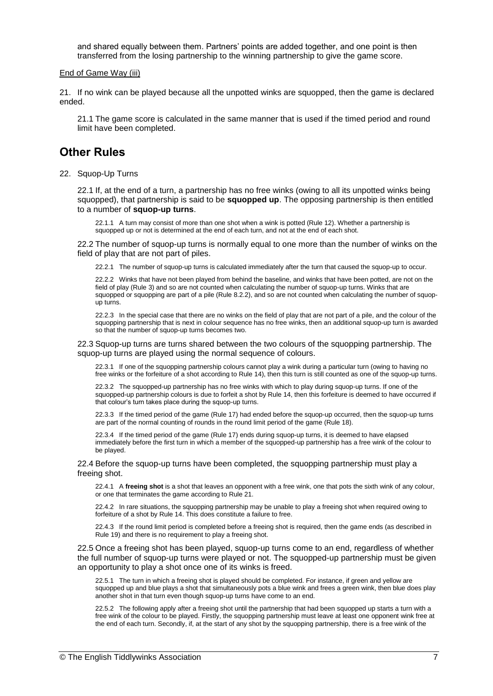and shared equally between them. Partners' points are added together, and one point is then transferred from the losing partnership to the winning partnership to give the game score.

### End of Game Way (iii)

21. If no wink can be played because all the unpotted winks are squopped, then the game is declared ended.

21.1 The game score is calculated in the same manner that is used if the timed period and round limit have been completed.

## **Other Rules**

22. Squop-Up Turns

22.1 If, at the end of a turn, a partnership has no free winks (owing to all its unpotted winks being squopped), that partnership is said to be **squopped up**. The opposing partnership is then entitled to a number of **squop-up turns**.

22.1.1 A turn may consist of more than one shot when a wink is potted (Rule 12). Whether a partnership is squopped up or not is determined at the end of each turn, and not at the end of each shot.

22.2 The number of squop-up turns is normally equal to one more than the number of winks on the field of play that are not part of piles.

22.2.1 The number of squop-up turns is calculated immediately after the turn that caused the squop-up to occur.

22.2.2 Winks that have not been played from behind the baseline, and winks that have been potted, are not on the field of play (Rule 3) and so are not counted when calculating the number of squop-up turns. Winks that are squopped or squopping are part of a pile (Rule 8.2.2), and so are not counted when calculating the number of squopup turns.

22.2.3 In the special case that there are no winks on the field of play that are not part of a pile, and the colour of the squopping partnership that is next in colour sequence has no free winks, then an additional squop-up turn is awarded so that the number of squop-up turns becomes two.

22.3 Squop-up turns are turns shared between the two colours of the squopping partnership. The squop-up turns are played using the normal sequence of colours.

22.3.1 If one of the squopping partnership colours cannot play a wink during a particular turn (owing to having no free winks or the forfeiture of a shot according to Rule 14), then this turn is still counted as one of the squop-up turns.

22.3.2 The squopped-up partnership has no free winks with which to play during squop-up turns. If one of the squopped-up partnership colours is due to forfeit a shot by Rule 14, then this forfeiture is deemed to have occurred if that colour's turn takes place during the squop-up turns.

22.3.3 If the timed period of the game (Rule 17) had ended before the squop-up occurred, then the squop-up turns are part of the normal counting of rounds in the round limit period of the game (Rule 18).

22.3.4 If the timed period of the game (Rule 17) ends during squop-up turns, it is deemed to have elapsed immediately before the first turn in which a member of the squopped-up partnership has a free wink of the colour to be played.

22.4 Before the squop-up turns have been completed, the squopping partnership must play a freeing shot.

22.4.1 A **freeing shot** is a shot that leaves an opponent with a free wink, one that pots the sixth wink of any colour, or one that terminates the game according to Rule 21.

22.4.2 In rare situations, the squopping partnership may be unable to play a freeing shot when required owing to forfeiture of a shot by Rule 14. This does constitute a failure to free.

22.4.3 If the round limit period is completed before a freeing shot is required, then the game ends (as described in Rule 19) and there is no requirement to play a freeing shot.

22.5 Once a freeing shot has been played, squop-up turns come to an end, regardless of whether the full number of squop-up turns were played or not. The squopped-up partnership must be given an opportunity to play a shot once one of its winks is freed.

22.5.1 The turn in which a freeing shot is played should be completed. For instance, if green and yellow are squopped up and blue plays a shot that simultaneously pots a blue wink and frees a green wink, then blue does play another shot in that turn even though squop-up turns have come to an end.

22.5.2 The following apply after a freeing shot until the partnership that had been squopped up starts a turn with a free wink of the colour to be played. Firstly, the squopping partnership must leave at least one opponent wink free at the end of each turn. Secondly, if, at the start of any shot by the squopping partnership, there is a free wink of the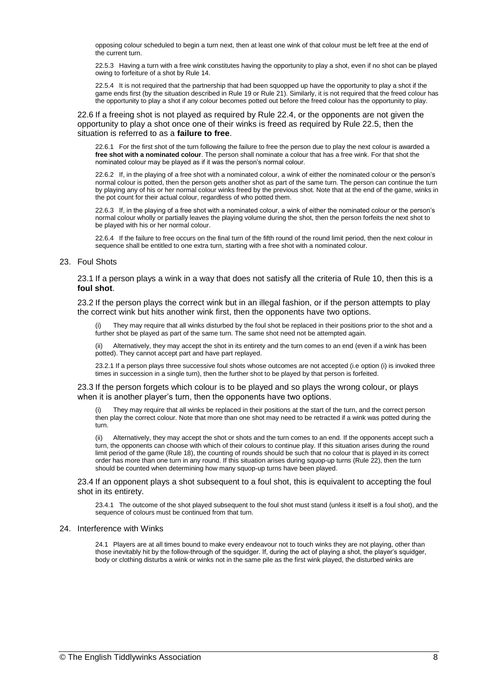opposing colour scheduled to begin a turn next, then at least one wink of that colour must be left free at the end of the current turn.

22.5.3 Having a turn with a free wink constitutes having the opportunity to play a shot, even if no shot can be played owing to forfeiture of a shot by Rule 14.

22.5.4 It is not required that the partnership that had been squopped up have the opportunity to play a shot if the game ends first (by the situation described in Rule 19 or Rule 21). Similarly, it is not required that the freed colour has the opportunity to play a shot if any colour becomes potted out before the freed colour has the opportunity to play.

22.6 If a freeing shot is not played as required by Rule 22.4, or the opponents are not given the opportunity to play a shot once one of their winks is freed as required by Rule 22.5, then the situation is referred to as a **failure to free**.

22.6.1 For the first shot of the turn following the failure to free the person due to play the next colour is awarded a **free shot with a nominated colour**. The person shall nominate a colour that has a free wink. For that shot the nominated colour may be played as if it was the person's normal colour.

22.6.2 If, in the playing of a free shot with a nominated colour, a wink of either the nominated colour or the person's normal colour is potted, then the person gets another shot as part of the same turn. The person can continue the turn by playing any of his or her normal colour winks freed by the previous shot. Note that at the end of the game, winks in the pot count for their actual colour, regardless of who potted them.

22.6.3 If, in the playing of a free shot with a nominated colour, a wink of either the nominated colour or the person's normal colour wholly or partially leaves the playing volume during the shot, then the person forfeits the next shot to be played with his or her normal colour.

22.6.4 If the failure to free occurs on the final turn of the fifth round of the round limit period, then the next colour in sequence shall be entitled to one extra turn, starting with a free shot with a nominated colour.

#### 23. Foul Shots

23.1 If a person plays a wink in a way that does not satisfy all the criteria of Rule 10, then this is a **foul shot**.

23.2 If the person plays the correct wink but in an illegal fashion, or if the person attempts to play the correct wink but hits another wink first, then the opponents have two options.

They may require that all winks disturbed by the foul shot be replaced in their positions prior to the shot and a further shot be played as part of the same turn. The same shot need not be attempted again.

Alternatively, they may accept the shot in its entirety and the turn comes to an end (even if a wink has been potted). They cannot accept part and have part replayed.

23.2.1 If a person plays three successive foul shots whose outcomes are not accepted (i.e option (i) is invoked three times in succession in a single turn), then the further shot to be played by that person is forfeited.

#### 23.3 If the person forgets which colour is to be played and so plays the wrong colour, or plays when it is another player's turn, then the opponents have two options.

They may require that all winks be replaced in their positions at the start of the turn, and the correct person then play the correct colour. Note that more than one shot may need to be retracted if a wink was potted during the turn.

(ii) Alternatively, they may accept the shot or shots and the turn comes to an end. If the opponents accept such a turn, the opponents can choose with which of their colours to continue play. If this situation arises during the round limit period of the game (Rule 18), the counting of rounds should be such that no colour that is played in its correct order has more than one turn in any round. If this situation arises during squop-up turns (Rule 22), then the turn should be counted when determining how many squop-up turns have been played.

#### 23.4 If an opponent plays a shot subsequent to a foul shot, this is equivalent to accepting the foul shot in its entirety.

23.4.1 The outcome of the shot played subsequent to the foul shot must stand (unless it itself is a foul shot), and the sequence of colours must be continued from that turn.

#### 24. Interference with Winks

24.1 Players are at all times bound to make every endeavour not to touch winks they are not playing, other than those inevitably hit by the follow-through of the squidger. If, during the act of playing a shot, the player's squidger, body or clothing disturbs a wink or winks not in the same pile as the first wink played, the disturbed winks are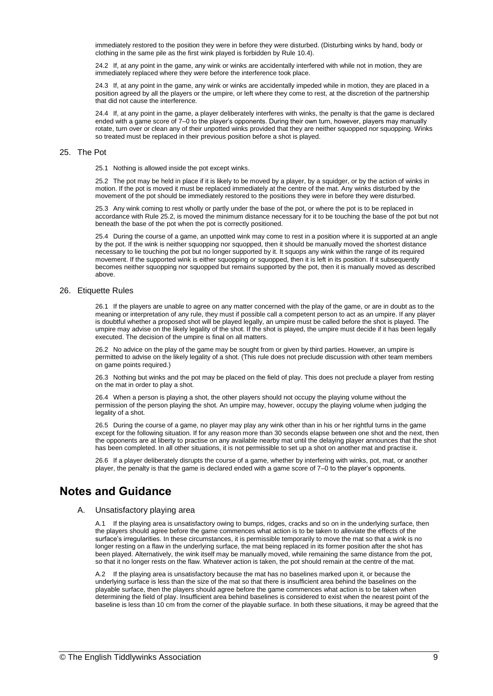immediately restored to the position they were in before they were disturbed. (Disturbing winks by hand, body or clothing in the same pile as the first wink played is forbidden by Rule 10.4).

24.2 If, at any point in the game, any wink or winks are accidentally interfered with while not in motion, they are immediately replaced where they were before the interference took place.

24.3 If, at any point in the game, any wink or winks are accidentally impeded while in motion, they are placed in a position agreed by all the players or the umpire, or left where they come to rest, at the discretion of the partnership that did not cause the interference.

24.4 If, at any point in the game, a player deliberately interferes with winks, the penalty is that the game is declared ended with a game score of 7–0 to the player's opponents. During their own turn, however, players may manually rotate, turn over or clean any of their unpotted winks provided that they are neither squopped nor squopping. Winks so treated must be replaced in their previous position before a shot is played.

#### 25. The Pot

25.1 Nothing is allowed inside the pot except winks.

25.2 The pot may be held in place if it is likely to be moved by a player, by a squidger, or by the action of winks in motion. If the pot is moved it must be replaced immediately at the centre of the mat. Any winks disturbed by the movement of the pot should be immediately restored to the positions they were in before they were disturbed.

25.3 Any wink coming to rest wholly or partly under the base of the pot, or where the pot is to be replaced in accordance with Rule 25.2, is moved the minimum distance necessary for it to be touching the base of the pot but not beneath the base of the pot when the pot is correctly positioned.

25.4 During the course of a game, an unpotted wink may come to rest in a position where it is supported at an angle by the pot. If the wink is neither squopping nor squopped, then it should be manually moved the shortest distance necessary to lie touching the pot but no longer supported by it. It squops any wink within the range of its required movement. If the supported wink is either squopping or squopped, then it is left in its position. If it subsequently becomes neither squopping nor squopped but remains supported by the pot, then it is manually moved as described above.

#### 26. Etiquette Rules

26.1 If the players are unable to agree on any matter concerned with the play of the game, or are in doubt as to the meaning or interpretation of any rule, they must if possible call a competent person to act as an umpire. If any player is doubtful whether a proposed shot will be played legally, an umpire must be called before the shot is played. The umpire may advise on the likely legality of the shot. If the shot is played, the umpire must decide if it has been legally executed. The decision of the umpire is final on all matters.

26.2 No advice on the play of the game may be sought from or given by third parties. However, an umpire is permitted to advise on the likely legality of a shot. (This rule does not preclude discussion with other team members on game points required.)

26.3 Nothing but winks and the pot may be placed on the field of play. This does not preclude a player from resting on the mat in order to play a shot.

26.4 When a person is playing a shot, the other players should not occupy the playing volume without the permission of the person playing the shot. An umpire may, however, occupy the playing volume when judging the legality of a shot.

26.5 During the course of a game, no player may play any wink other than in his or her rightful turns in the game except for the following situation. If for any reason more than 30 seconds elapse between one shot and the next, then the opponents are at liberty to practise on any available nearby mat until the delaying player announces that the shot has been completed. In all other situations, it is not permissible to set up a shot on another mat and practise it.

26.6 If a player deliberately disrupts the course of a game, whether by interfering with winks, pot, mat, or another player, the penalty is that the game is declared ended with a game score of 7–0 to the player's opponents.

## **Notes and Guidance**

### A. Unsatisfactory playing area

A.1 If the playing area is unsatisfactory owing to bumps, ridges, cracks and so on in the underlying surface, then the players should agree before the game commences what action is to be taken to alleviate the effects of the surface's irregularities. In these circumstances, it is permissible temporarily to move the mat so that a wink is no longer resting on a flaw in the underlying surface, the mat being replaced in its former position after the shot has been played. Alternatively, the wink itself may be manually moved, while remaining the same distance from the pot, so that it no longer rests on the flaw. Whatever action is taken, the pot should remain at the centre of the mat.

A.2 If the playing area is unsatisfactory because the mat has no baselines marked upon it, or because the underlying surface is less than the size of the mat so that there is insufficient area behind the baselines on the playable surface, then the players should agree before the game commences what action is to be taken when determining the field of play. Insufficient area behind baselines is considered to exist when the nearest point of the baseline is less than 10 cm from the corner of the playable surface. In both these situations, it may be agreed that the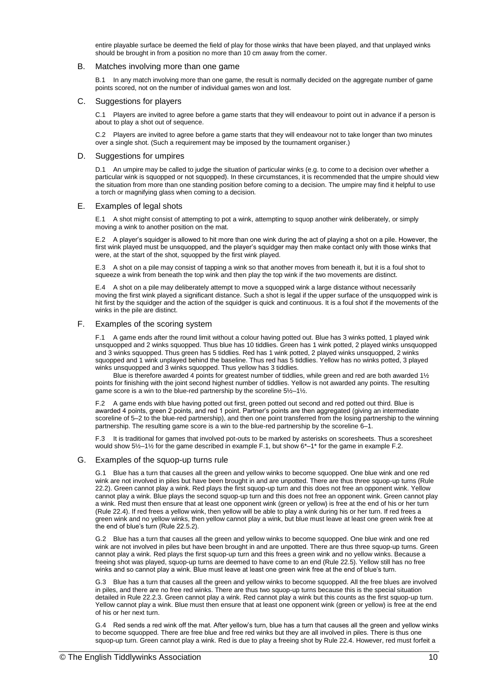entire playable surface be deemed the field of play for those winks that have been played, and that unplayed winks should be brought in from a position no more than 10 cm away from the corner.

#### B. Matches involving more than one game

B.1 In any match involving more than one game, the result is normally decided on the aggregate number of game points scored, not on the number of individual games won and lost.

#### C. Suggestions for players

C.1 Players are invited to agree before a game starts that they will endeavour to point out in advance if a person is about to play a shot out of sequence.

C.2 Players are invited to agree before a game starts that they will endeavour not to take longer than two minutes over a single shot. (Such a requirement may be imposed by the tournament organiser.)

#### D. Suggestions for umpires

D.1 An umpire may be called to judge the situation of particular winks (e.g. to come to a decision over whether a particular wink is squopped or not squopped). In these circumstances, it is recommended that the umpire should view the situation from more than one standing position before coming to a decision. The umpire may find it helpful to use a torch or magnifying glass when coming to a decision.

#### E. Examples of legal shots

E.1 A shot might consist of attempting to pot a wink, attempting to squop another wink deliberately, or simply moving a wink to another position on the mat.

E.2 A player's squidger is allowed to hit more than one wink during the act of playing a shot on a pile. However, the first wink played must be unsquopped, and the player's squidger may then make contact only with those winks that were, at the start of the shot, squopped by the first wink played.

E.3 A shot on a pile may consist of tapping a wink so that another moves from beneath it, but it is a foul shot to squeeze a wink from beneath the top wink and then play the top wink if the two movements are distinct.

E.4 A shot on a pile may deliberately attempt to move a squopped wink a large distance without necessarily moving the first wink played a significant distance. Such a shot is legal if the upper surface of the unsquopped wink is hit first by the squidger and the action of the squidger is quick and continuous. It is a foul shot if the movements of the winks in the pile are distinct.

#### F. Examples of the scoring system

F.1 A game ends after the round limit without a colour having potted out. Blue has 3 winks potted, 1 played wink unsquopped and 2 winks squopped. Thus blue has 10 tiddlies. Green has 1 wink potted, 2 played winks unsquopped and 3 winks squopped. Thus green has 5 tiddlies. Red has 1 wink potted, 2 played winks unsquopped, 2 winks squopped and 1 wink unplayed behind the baseline. Thus red has 5 tiddlies. Yellow has no winks potted, 3 played winks unsquopped and 3 winks squopped. Thus yellow has 3 tiddlies.

Blue is therefore awarded 4 points for greatest number of tiddlies, while green and red are both awarded 1½ points for finishing with the joint second highest number of tiddlies. Yellow is not awarded any points. The resulting game score is a win to the blue-red partnership by the scoreline 5½–1½.

F.2 A game ends with blue having potted out first, green potted out second and red potted out third. Blue is awarded 4 points, green 2 points, and red 1 point. Partner's points are then aggregated (giving an intermediate scoreline of 5–2 to the blue-red partnership), and then one point transferred from the losing partnership to the winning partnership. The resulting game score is a win to the blue-red partnership by the scoreline 6–1.

F.3 It is traditional for games that involved pot-outs to be marked by asterisks on scoresheets. Thus a scoresheet would show  $5\frac{1}{2}$  for the game described in example F.1, but show  $6^*$ –1<sup>\*</sup> for the game in example F.2.

#### G. Examples of the squop-up turns rule

G.1 Blue has a turn that causes all the green and yellow winks to become squopped. One blue wink and one red wink are not involved in piles but have been brought in and are unpotted. There are thus three squop-up turns (Rule 22.2). Green cannot play a wink. Red plays the first squop-up turn and this does not free an opponent wink. Yellow cannot play a wink. Blue plays the second squop-up turn and this does not free an opponent wink. Green cannot play a wink. Red must then ensure that at least one opponent wink (green or yellow) is free at the end of his or her turn (Rule 22.4). If red frees a yellow wink, then yellow will be able to play a wink during his or her turn. If red frees a green wink and no yellow winks, then yellow cannot play a wink, but blue must leave at least one green wink free at the end of blue's turn (Rule 22.5.2).

G.2 Blue has a turn that causes all the green and yellow winks to become squopped. One blue wink and one red wink are not involved in piles but have been brought in and are unpotted. There are thus three squop-up turns. Green cannot play a wink. Red plays the first squop-up turn and this frees a green wink and no yellow winks. Because a freeing shot was played, squop-up turns are deemed to have come to an end (Rule 22.5). Yellow still has no free winks and so cannot play a wink. Blue must leave at least one green wink free at the end of blue's turn.

G.3 Blue has a turn that causes all the green and yellow winks to become squopped. All the free blues are involved in piles, and there are no free red winks. There are thus two squop-up turns because this is the special situation detailed in Rule 22.2.3. Green cannot play a wink. Red cannot play a wink but this counts as the first squop-up turn. Yellow cannot play a wink. Blue must then ensure that at least one opponent wink (green or yellow) is free at the end of his or her next turn.

G.4 Red sends a red wink off the mat. After yellow's turn, blue has a turn that causes all the green and yellow winks to become squopped. There are free blue and free red winks but they are all involved in piles. There is thus one squop-up turn. Green cannot play a wink. Red is due to play a freeing shot by Rule 22.4. However, red must forfeit a